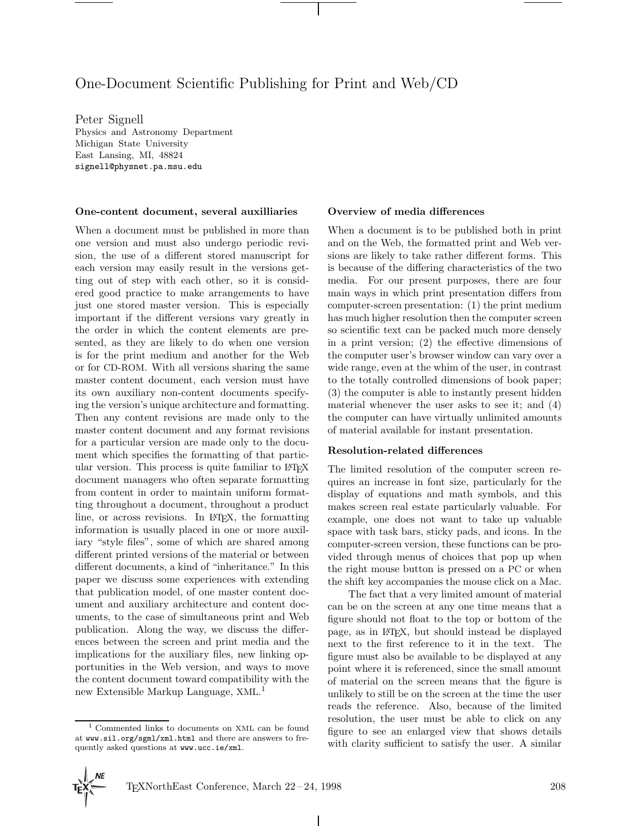# One-Document Scientific Publishing for Print and Web/CD

Peter Signell Physics and Astronomy Department Michigan State University East Lansing, MI, 48824 signell@physnet.pa.msu.edu

#### **One-content document, several auxilliaries**

When a document must be published in more than one version and must also undergo periodic revision, the use of a different stored manuscript for each version may easily result in the versions getting out of step with each other, so it is considered good practice to make arrangements to have just one stored master version. This is especially important if the different versions vary greatly in the order in which the content elements are presented, as they are likely to do when one version is for the print medium and another for the Web or for CD-ROM. With all versions sharing the same master content document, each version must have its own auxiliary non-content documents specifying the version's unique architecture and formatting. Then any content revisions are made only to the master content document and any format revisions for a particular version are made only to the document which specifies the formatting of that particular version. This process is quite familiar to LATEX document managers who often separate formatting from content in order to maintain uniform formatting throughout a document, throughout a product line, or across revisions. In LAT<sub>EX</sub>, the formatting information is usually placed in one or more auxiliary "style files", some of which are shared among different printed versions of the material or between different documents, a kind of "inheritance." In this paper we discuss some experiences with extending that publication model, of one master content document and auxiliary architecture and content documents, to the case of simultaneous print and Web publication. Along the way, we discuss the differences between the screen and print media and the implications for the auxiliary files, new linking opportunities in the Web version, and ways to move the content document toward compatibility with the new Extensible Markup Language, XML. 1

#### **Overview of media differences**

When a document is to be published both in print and on the Web, the formatted print and Web versions are likely to take rather different forms. This is because of the differing characteristics of the two media. For our present purposes, there are four main ways in which print presentation differs from computer-screen presentation: (1) the print medium has much higher resolution then the computer screen so scientific text can be packed much more densely in a print version; (2) the effective dimensions of the computer user's browser window can vary over a wide range, even at the whim of the user, in contrast to the totally controlled dimensions of book paper; (3) the computer is able to instantly present hidden material whenever the user asks to see it; and (4) the computer can have virtually unlimited amounts of material available for instant presentation.

#### **Resolution-related differences**

The limited resolution of the computer screen requires an increase in font size, particularly for the display of equations and math symbols, and this makes screen real estate particularly valuable. For example, one does not want to take up valuable space with task bars, sticky pads, and icons. In the computer-screen version, these functions can be provided through menus of choices that pop up when the right mouse button is pressed on a PC or when the shift key accompanies the mouse click on a Mac.

The fact that a very limited amount of material can be on the screen at any one time means that a figure should not float to the top or bottom of the page, as in LATEX, but should instead be displayed next to the first reference to it in the text. The figure must also be available to be displayed at any point where it is referenced, since the small amount of material on the screen means that the figure is unlikely to still be on the screen at the time the user reads the reference. Also, because of the limited resolution, the user must be able to click on any figure to see an enlarged view that shows details with clarity sufficient to satisfy the user. A similar

 $\mathbf{I}$ 

<sup>1</sup> Commented links to documents on XML can be found at www.sil.org/sgml/xml.html and there are answers to frequently asked questions at www.ucc.ie/xml.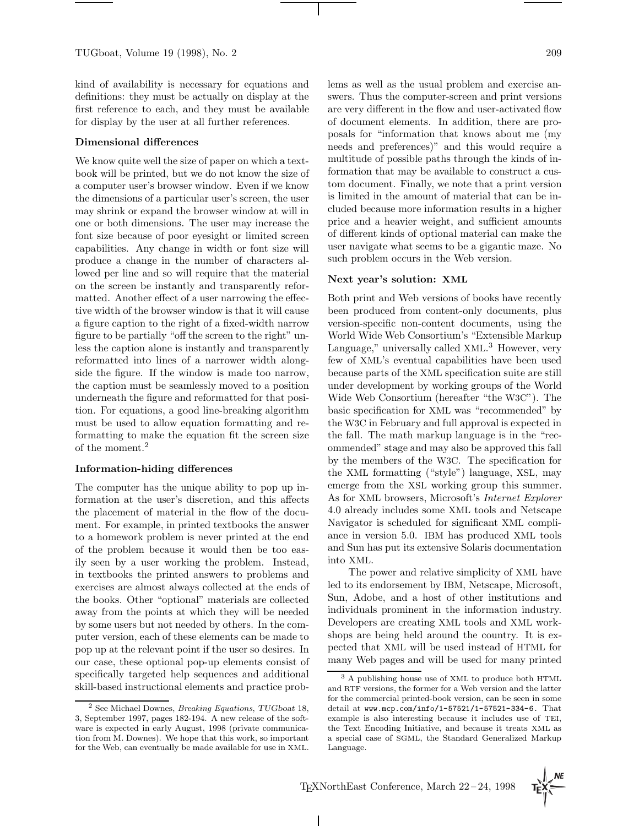kind of availability is necessary for equations and definitions: they must be actually on display at the first reference to each, and they must be available for display by the user at all further references.

#### **Dimensional differences**

We know quite well the size of paper on which a textbook will be printed, but we do not know the size of a computer user's browser window. Even if we know the dimensions of a particular user's screen, the user may shrink or expand the browser window at will in one or both dimensions. The user may increase the font size because of poor eyesight or limited screen capabilities. Any change in width or font size will produce a change in the number of characters allowed per line and so will require that the material on the screen be instantly and transparently reformatted. Another effect of a user narrowing the effective width of the browser window is that it will cause a figure caption to the right of a fixed-width narrow figure to be partially "off the screen to the right" unless the caption alone is instantly and transparently reformatted into lines of a narrower width alongside the figure. If the window is made too narrow, the caption must be seamlessly moved to a position underneath the figure and reformatted for that position. For equations, a good line-breaking algorithm must be used to allow equation formatting and reformatting to make the equation fit the screen size of the moment.<sup>2</sup>

#### **Information-hiding differences**

The computer has the unique ability to pop up information at the user's discretion, and this affects the placement of material in the flow of the document. For example, in printed textbooks the answer to a homework problem is never printed at the end of the problem because it would then be too easily seen by a user working the problem. Instead, in textbooks the printed answers to problems and exercises are almost always collected at the ends of the books. Other "optional" materials are collected away from the points at which they will be needed by some users but not needed by others. In the computer version, each of these elements can be made to pop up at the relevant point if the user so desires. In our case, these optional pop-up elements consist of specifically targeted help sequences and additional skill-based instructional elements and practice problems as well as the usual problem and exercise answers. Thus the computer-screen and print versions are very different in the flow and user-activated flow of document elements. In addition, there are proposals for "information that knows about me (my needs and preferences)" and this would require a multitude of possible paths through the kinds of information that may be available to construct a custom document. Finally, we note that a print version is limited in the amount of material that can be included because more information results in a higher price and a heavier weight, and sufficient amounts of different kinds of optional material can make the user navigate what seems to be a gigantic maze. No such problem occurs in the Web version.

## **Next year's solution: XML**

Both print and Web versions of books have recently been produced from content-only documents, plus version-specific non-content documents, using the World Wide Web Consortium's "Extensible Markup Language," universally called XML.<sup>3</sup> However, very few of XML's eventual capabilities have been used because parts of the XML specification suite are still under development by working groups of the World Wide Web Consortium (hereafter "the W3C"). The basic specification for XML was "recommended" by the W3C in February and full approval is expected in the fall. The math markup language is in the "recommended" stage and may also be approved this fall by the members of the W3C. The specification for the XML formatting ("style") language, XSL, may emerge from the XSL working group this summer. As for XML browsers, Microsoft's Internet Explorer 4.0 already includes some XML tools and Netscape Navigator is scheduled for significant XML compliance in version 5.0. IBM has produced XML tools and Sun has put its extensive Solaris documentation into XML.

The power and relative simplicity of XML have led to its endorsement by IBM, Netscape, Microsoft, Sun, Adobe, and a host of other institutions and individuals prominent in the information industry. Developers are creating XML tools and XML workshops are being held around the country. It is expected that XML will be used instead of HTML for many Web pages and will be used for many printed

<sup>2</sup> See Michael Downes, Breaking Equations, *TUGboat* 18, 3, September 1997, pages 182-194. A new release of the software is expected in early August, 1998 (private communication from M. Downes). We hope that this work, so important for the Web, can eventually be made available for use in XML.

<sup>3</sup> A publishing house use of XML to produce both HTML and RTF versions, the former for a Web version and the latter for the commercial printed-book version, can be seen in some detail at www.mcp.com/info/1-57521/1-57521-334-6. That example is also interesting because it includes use of TEI, the Text Encoding Initiative, and because it treats XML as a special case of SGML, the Standard Generalized Markup Language.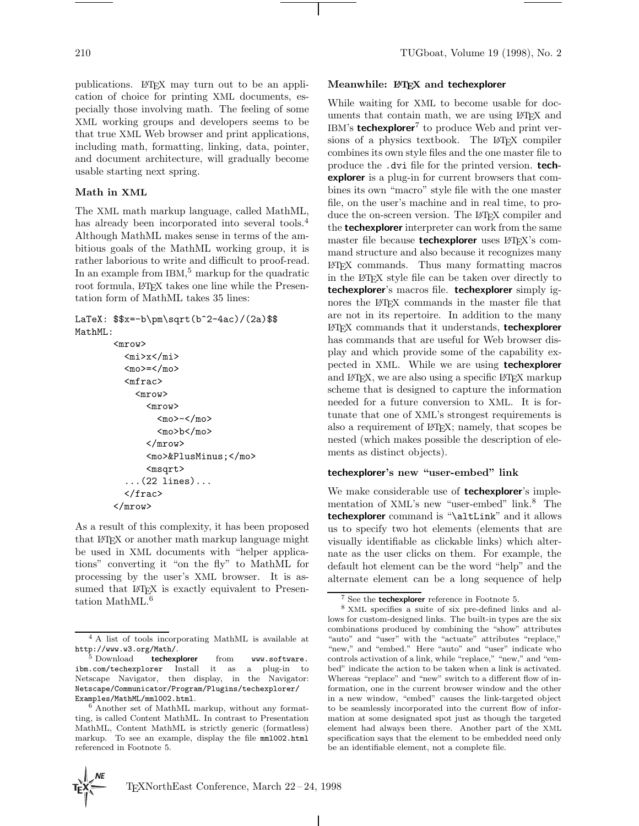publications. LATEX may turn out to be an application of choice for printing XML documents, especially those involving math. The feeling of some XML working groups and developers seems to be that true XML Web browser and print applications, including math, formatting, linking, data, pointer, and document architecture, will gradually become usable starting next spring.

## **Math in XML**

The XML math markup language, called MathML, has already been incorporated into several tools.<sup>4</sup> Although MathML makes sense in terms of the ambitious goals of the MathML working group, it is rather laborious to write and difficult to proof-read. In an example from IBM,<sup>5</sup> markup for the quadratic root formula, LATEX takes one line while the Presentation form of MathML takes 35 lines:

LaTeX:  $$x=-b\pm\sqrt{b^2-4ac}/(2a)$ MathML:

```
<mrow>
  <mi>x</mi>
  <sub>mo</sub>>=</mo></sub>
  <mfrac>
     <mrow>
        <mrow>
          <sub>mo</sub> < /mo></sub>
          <mo>b</mo>
        </mrow>
        <mo>&PlusMinus;</mo>
        <msqrt>
   ...(22 lines)...
  </frac>
</mrow>
```
As a result of this complexity, it has been proposed that LATEX or another math markup language might be used in XML documents with "helper applications" converting it "on the fly" to MathML for processing by the user's XML browser. It is assumed that LATEX is exactly equivalent to Presentation MathML.<sup>6</sup>

#### **Meanwhile: LATEX and techexplorer**

While waiting for XML to become usable for documents that contain math, we are using LATEX and IBM's **techexplorer**<sup>7</sup> to produce Web and print versions of a physics textbook. The LAT<sub>EX</sub> compiler combines its own style files and the one master file to produce the .dvi file for the printed version. **techexplorer** is a plug-in for current browsers that combines its own "macro" style file with the one master file, on the user's machine and in real time, to produce the on-screen version. The L<sup>AT</sup>EX compiler and the **techexplorer** interpreter can work from the same master file because **techexplorer** uses LAT<sub>E</sub>X's command structure and also because it recognizes many LATEX commands. Thus many formatting macros in the LATEX style file can be taken over directly to **techexplorer**'s macros file. **techexplorer** simply ignores the LATEX commands in the master file that are not in its repertoire. In addition to the many LATEX commands that it understands, **techexplorer** has commands that are useful for Web browser display and which provide some of the capability expected in XML. While we are using **techexplorer** and LAT<sub>E</sub>X, we are also using a specific LAT<sub>E</sub>X markup scheme that is designed to capture the information needed for a future conversion to XML. It is fortunate that one of XML's strongest requirements is also a requirement of LATEX; namely, that scopes be nested (which makes possible the description of elements as distinct objects).

#### **techexplorer's new "user-embed" link**

We make considerable use of **techexplorer**'s implementation of XML's new "user-embed" link.<sup>8</sup> The **techexplorer** command is "\altLink" and it allows us to specify two hot elements (elements that are visually identifiable as clickable links) which alternate as the user clicks on them. For example, the default hot element can be the word "help" and the alternate element can be a long sequence of help

<sup>4</sup> A list of tools incorporating MathML is available at http://www.w3.org/Math/. <sup>5</sup> Download **techexplorer** from www.software.

ibm.com/techexplorer Install it as a plug-in to Netscape Navigator, then display, in the Navigator: Netscape/Communicator/Program/Plugins/techexplorer/ Examples/MathML/mml002.html. <sup>6</sup> Another set of MathML markup, without any format-

ting, is called Content MathML. In contrast to Presentation MathML, Content MathML is strictly generic (formatless) markup. To see an example, display the file mml002.html referenced in Footnote 5.

See the **techexplorer** reference in Footnote 5.

<sup>8</sup> XML specifies a suite of six pre-defined links and allows for custom-designed links. The built-in types are the six combinations produced by combining the "show" attributes "auto" and "user" with the "actuate" attributes "replace," "new," and "embed." Here "auto" and "user" indicate who controls activation of a link, while "replace," "new," and "embed" indicate the action to be taken when a link is activated. Whereas "replace" and "new" switch to a different flow of information, one in the current browser window and the other in a new window, "embed" causes the link-targeted object to be seamlessly incorporated into the current flow of information at some designated spot just as though the targeted element had always been there. Another part of the XML specification says that the element to be embedded need only be an identifiable element, not a complete file.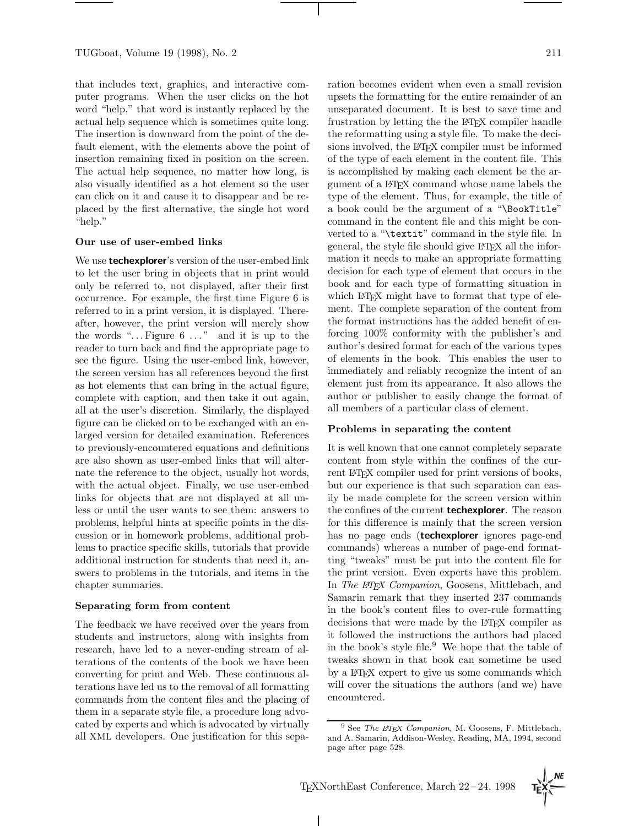that includes text, graphics, and interactive computer programs. When the user clicks on the hot word "help," that word is instantly replaced by the actual help sequence which is sometimes quite long. The insertion is downward from the point of the default element, with the elements above the point of insertion remaining fixed in position on the screen. The actual help sequence, no matter how long, is also visually identified as a hot element so the user can click on it and cause it to disappear and be replaced by the first alternative, the single hot word "help."

#### **Our use of user-embed links**

We use **techexplorer**'s version of the user-embed link to let the user bring in objects that in print would only be referred to, not displayed, after their first occurrence. For example, the first time Figure 6 is referred to in a print version, it is displayed. Thereafter, however, the print version will merely show the words " $\dots$  Figure 6  $\dots$ " and it is up to the reader to turn back and find the appropriate page to see the figure. Using the user-embed link, however, the screen version has all references beyond the first as hot elements that can bring in the actual figure, complete with caption, and then take it out again, all at the user's discretion. Similarly, the displayed figure can be clicked on to be exchanged with an enlarged version for detailed examination. References to previously-encountered equations and definitions are also shown as user-embed links that will alternate the reference to the object, usually hot words, with the actual object. Finally, we use user-embed links for objects that are not displayed at all unless or until the user wants to see them: answers to problems, helpful hints at specific points in the discussion or in homework problems, additional problems to practice specific skills, tutorials that provide additional instruction for students that need it, answers to problems in the tutorials, and items in the chapter summaries.

#### **Separating form from content**

The feedback we have received over the years from students and instructors, along with insights from research, have led to a never-ending stream of alterations of the contents of the book we have been converting for print and Web. These continuous alterations have led us to the removal of all formatting commands from the content files and the placing of them in a separate style file, a procedure long advocated by experts and which is advocated by virtually all XML developers. One justification for this separation becomes evident when even a small revision upsets the formatting for the entire remainder of an unseparated document. It is best to save time and frustration by letting the the LATEX compiler handle the reformatting using a style file. To make the decisions involved, the LAT<sub>E</sub>X compiler must be informed of the type of each element in the content file. This is accomplished by making each element be the argument of a LATEX command whose name labels the type of the element. Thus, for example, the title of a book could be the argument of a "\BookTitle" command in the content file and this might be converted to a "\textit" command in the style file. In general, the style file should give LAT<sub>EX</sub> all the information it needs to make an appropriate formatting decision for each type of element that occurs in the book and for each type of formatting situation in which L<sup>AT</sup>EX might have to format that type of element. The complete separation of the content from the format instructions has the added benefit of enforcing 100% conformity with the publisher's and author's desired format for each of the various types of elements in the book. This enables the user to immediately and reliably recognize the intent of an element just from its appearance. It also allows the author or publisher to easily change the format of all members of a particular class of element.

## **Problems in separating the content**

It is well known that one cannot completely separate content from style within the confines of the current LAT<sub>EX</sub> compiler used for print versions of books, but our experience is that such separation can easily be made complete for the screen version within the confines of the current **techexplorer**. The reason for this difference is mainly that the screen version has no page ends (**techexplorer** ignores page-end commands) whereas a number of page-end formatting "tweaks" must be put into the content file for the print version. Even experts have this problem. In The LAT<sub>E</sub>X Companion, Goosens, Mittlebach, and Samarin remark that they inserted 237 commands in the book's content files to over-rule formatting decisions that were made by the LATEX compiler as it followed the instructions the authors had placed in the book's style file.<sup>9</sup> We hope that the table of tweaks shown in that book can sometime be used by a LATEX expert to give us some commands which will cover the situations the authors (and we) have encountered.

 $9$  See The LIEX Companion, M. Goosens, F. Mittlebach, and A. Samarin, Addison-Wesley, Reading, MA, 1994, second page after page 528.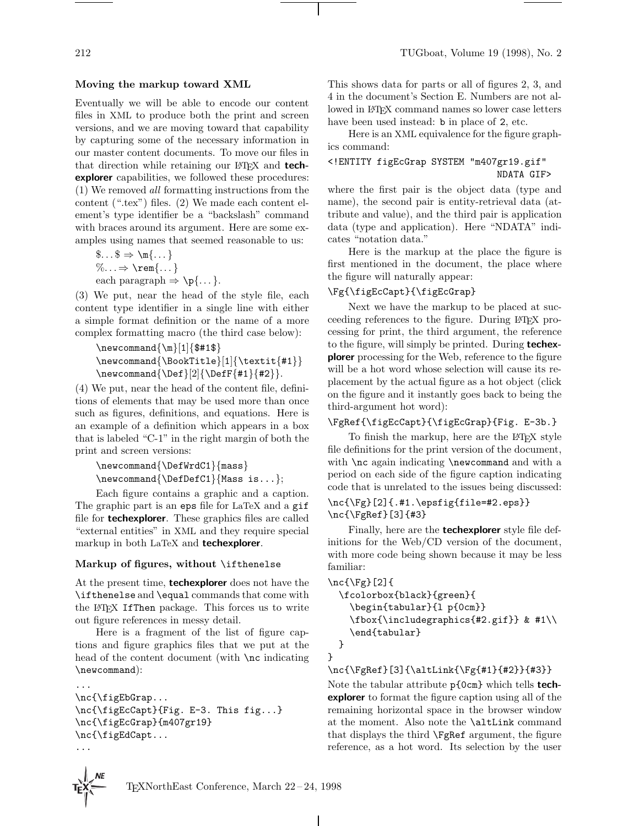#### **Moving the markup toward XML**

Eventually we will be able to encode our content files in XML to produce both the print and screen versions, and we are moving toward that capability by capturing some of the necessary information in our master content documents. To move our files in that direction while retaining our L<sup>AT</sup>EX and **techexplorer** capabilities, we followed these procedures: (1) We removed all formatting instructions from the content (".tex") files. (2) We made each content element's type identifier be a "backslash" command with braces around its argument. Here are some examples using names that seemed reasonable to us:

$$
\begin{array}{l}\n\text{$\$...$} \Rightarrow \text{1...} \\
\%... \Rightarrow \text{1...} \\
\text{each paragraph} \Rightarrow \text{p}\{...}.\n\end{array}
$$

(3) We put, near the head of the style file, each content type identifier in a single line with either a simple format definition or the name of a more complex formatting macro (the third case below):

```
\newcommand{\nm}{1}{$#18}\newcommand{\b{1}{\textbf{1}}{\textbf{#1}}\newcommand{\Def}[2]{\DefF{#1}{#2}}.
```
(4) We put, near the head of the content file, definitions of elements that may be used more than once such as figures, definitions, and equations. Here is an example of a definition which appears in a box that is labeled "C-1" in the right margin of both the print and screen versions:

```
\newcommand{\DefWrdC1}{mass}
\newcommand{\DefDefC1}{Mass is...};
```
Each figure contains a graphic and a caption. The graphic part is an eps file for LaTeX and a gif file for **techexplorer**. These graphics files are called "external entities" in XML and they require special markup in both LaTeX and **techexplorer**.

#### **Markup of figures, without** \ifthenelse

At the present time, **techexplorer** does not have the \ifthenelse and \equal commands that come with the LATEX IfThen package. This forces us to write out figure references in messy detail.

Here is a fragment of the list of figure captions and figure graphics files that we put at the head of the content document (with **\nc** indicating \newcommand):

```
\nc{\figEbGrap...
\nc{\figEcCapt}{Fig. E-3. This fig...}
\nc{\figEcGrap}{m407gr19}
\nc{\figEdCapt...
...
```
...

This shows data for parts or all of figures 2, 3, and 4 in the document's Section E. Numbers are not allowed in LATEX command names so lower case letters have been used instead: b in place of 2, etc.

Here is an XML equivalence for the figure graphics command:

# <!ENTITY figEcGrap SYSTEM "m407gr19.gif" NDATA GIF>

where the first pair is the object data (type and name), the second pair is entity-retrieval data (attribute and value), and the third pair is application data (type and application). Here "NDATA" indicates "notation data."

Here is the markup at the place the figure is first mentioned in the document, the place where the figure will naturally appear:

## \Fg{\figEcCapt}{\figEcGrap}

Next we have the markup to be placed at succeeding references to the figure. During LATEX processing for print, the third argument, the reference to the figure, will simply be printed. During **techexplorer** processing for the Web, reference to the figure will be a hot word whose selection will cause its replacement by the actual figure as a hot object (click on the figure and it instantly goes back to being the third-argument hot word):

#### \FgRef{\figEcCapt}{\figEcGrap}{Fig. E-3b.}

To finish the markup, here are the LAT<sub>EX</sub> style file definitions for the print version of the document, with **\nc** again indicating **\newcommand** and with a period on each side of the figure caption indicating code that is unrelated to the issues being discussed:

## \nc{\Fg}[2]{.#1.\epsfig{file=#2.eps}} \nc{\FgRef}[3]{#3}

Finally, here are the **techexplorer** style file definitions for the Web/CD version of the document, with more code being shown because it may be less familiar:

```
\nc{\Fg}[2]{
 \fcolorbox{black}{green}{
    \begin{tabular}{l p{0cm}}
    \fbox{\includegraphics{#2.gif}} & #1\\
    \end{tabular}
 }
}
```
## \nc{\FgRef}[3]{\altLink{\Fg{#1}{#2}}{#3}}

Note the tabular attribute p{0cm} which tells **techexplorer** to format the figure caption using all of the remaining horizontal space in the browser window at the moment. Also note the \altLink command that displays the third \FgRef argument, the figure reference, as a hot word. Its selection by the user

 $\mathbf{I}$